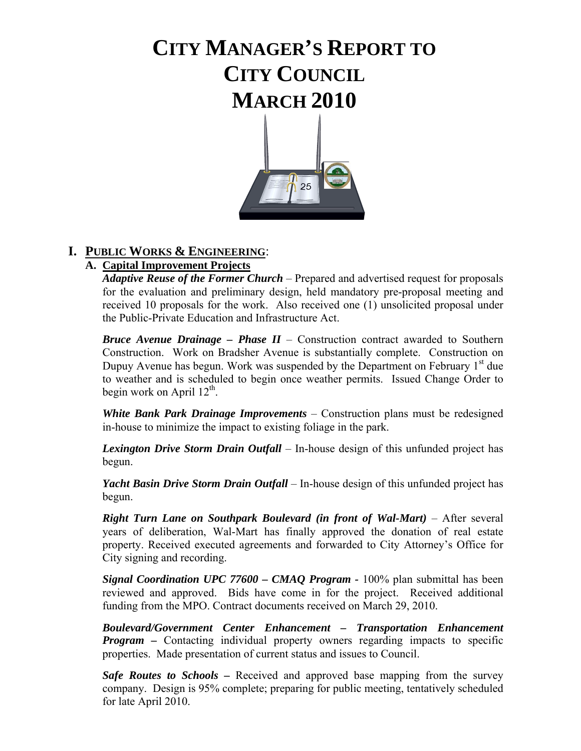# **CITY MANAGER'S REPORT TO CITY COUNCIL MARCH 2010**



# **I. PUBLIC WORKS & ENGINEERING**:

# **A. Capital Improvement Projects**

 *Adaptive Reuse of the Former Church* – Prepared and advertised request for proposals for the evaluation and preliminary design, held mandatory pre-proposal meeting and received 10 proposals for the work. Also received one (1) unsolicited proposal under the Public-Private Education and Infrastructure Act.

*Bruce Avenue Drainage – Phase II* – Construction contract awarded to Southern Construction. Work on Bradsher Avenue is substantially complete. Construction on Dupuy Avenue has begun. Work was suspended by the Department on February  $1<sup>st</sup>$  due to weather and is scheduled to begin once weather permits. Issued Change Order to begin work on April  $12^{th}$ .

*White Bank Park Drainage Improvements* – Construction plans must be redesigned in-house to minimize the impact to existing foliage in the park.

*Lexington Drive Storm Drain Outfall* – In-house design of this unfunded project has begun.

 *Yacht Basin Drive Storm Drain Outfall* – In-house design of this unfunded project has begun.

*Right Turn Lane on Southpark Boulevard (in front of Wal-Mart)* – After several years of deliberation, Wal-Mart has finally approved the donation of real estate property. Received executed agreements and forwarded to City Attorney's Office for City signing and recording.

*Signal Coordination UPC 77600 – CMAQ Program - 100%* plan submittal has been reviewed and approved. Bids have come in for the project. Received additional funding from the MPO. Contract documents received on March 29, 2010.

*Boulevard/Government Center Enhancement – Transportation Enhancement Program –* Contacting individual property owners regarding impacts to specific properties. Made presentation of current status and issues to Council.

*Safe Routes to Schools* – Received and approved base mapping from the survey company. Design is 95% complete; preparing for public meeting, tentatively scheduled for late April 2010.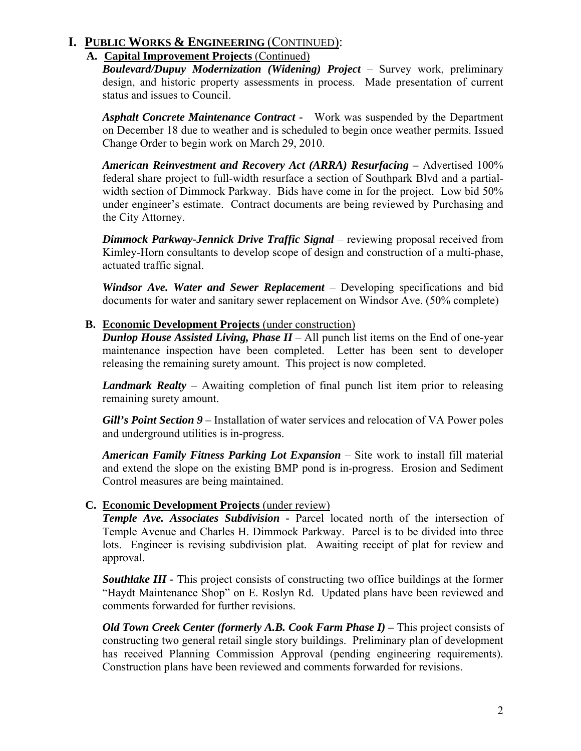# **I. PUBLIC WORKS & ENGINEERING** (CONTINUED):

### **A. Capital Improvement Projects** (Continued)

 *Boulevard/Dupuy Modernization (Widening) Project* – Survey work, preliminary design, and historic property assessments in process. Made presentation of current status and issues to Council.

*Asphalt Concrete Maintenance Contract -* Work was suspended by the Department on December 18 due to weather and is scheduled to begin once weather permits. Issued Change Order to begin work on March 29, 2010.

*American Reinvestment and Recovery Act (ARRA) Resurfacing –* Advertised 100% federal share project to full-width resurface a section of Southpark Blvd and a partialwidth section of Dimmock Parkway. Bids have come in for the project. Low bid 50% under engineer's estimate. Contract documents are being reviewed by Purchasing and the City Attorney.

*Dimmock Parkway-Jennick Drive Traffic Signal* – reviewing proposal received from Kimley-Horn consultants to develop scope of design and construction of a multi-phase, actuated traffic signal.

*Windsor Ave. Water and Sewer Replacement* – Developing specifications and bid documents for water and sanitary sewer replacement on Windsor Ave. (50% complete)

### **B. Economic Development Projects** (under construction)

*Dunlop House Assisted Living, Phase II – All punch list items on the End of one-year* maintenance inspection have been completed. Letter has been sent to developer releasing the remaining surety amount. This project is now completed.

*Landmark Realty* – Awaiting completion of final punch list item prior to releasing remaining surety amount.

*Gill's Point Section 9 –* Installation of water services and relocation of VA Power poles and underground utilities is in-progress.

*American Family Fitness Parking Lot Expansion* – Site work to install fill material and extend the slope on the existing BMP pond is in-progress. Erosion and Sediment Control measures are being maintained.

### **C. Economic Development Projects** (under review)

*Temple Ave. Associates Subdivision -* Parcel located north of the intersection of Temple Avenue and Charles H. Dimmock Parkway. Parcel is to be divided into three lots. Engineer is revising subdivision plat. Awaiting receipt of plat for review and approval.

*Southlake III -* This project consists of constructing two office buildings at the former "Haydt Maintenance Shop" on E. Roslyn Rd. Updated plans have been reviewed and comments forwarded for further revisions.

*Old Town Creek Center (formerly A.B. Cook Farm Phase I) –* This project consists of constructing two general retail single story buildings. Preliminary plan of development has received Planning Commission Approval (pending engineering requirements). Construction plans have been reviewed and comments forwarded for revisions.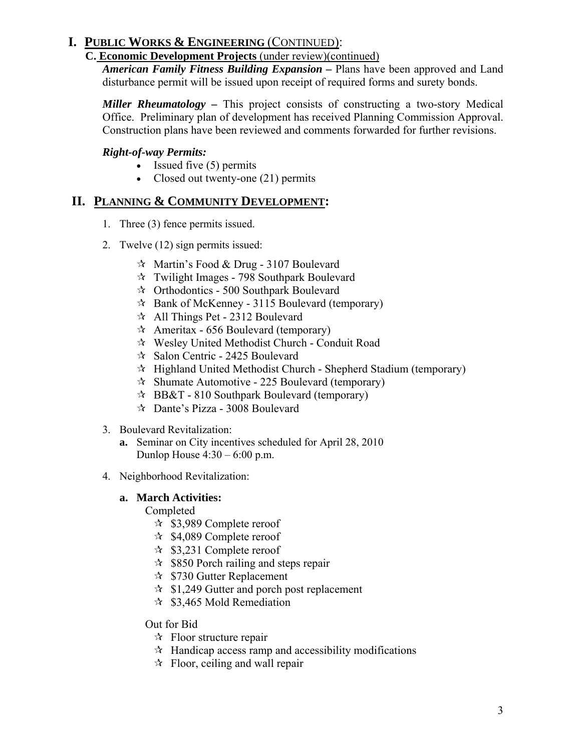# **I. PUBLIC WORKS & ENGINEERING** (CONTINUED):

### **C. Economic Development Projects** (under review)(continued)

*American Family Fitness Building Expansion –* Plans have been approved and Land disturbance permit will be issued upon receipt of required forms and surety bonds.

*Miller Rheumatology –* This project consists of constructing a two-story Medical Office. Preliminary plan of development has received Planning Commission Approval. Construction plans have been reviewed and comments forwarded for further revisions.

# *Right-of-way Permits:*

- Issued five (5) permits
- Closed out twenty-one (21) permits

# **II. PLANNING & COMMUNITY DEVELOPMENT:**

- 1. Three (3) fence permits issued.
- 2. Twelve (12) sign permits issued:
	- $\approx$  Martin's Food & Drug 3107 Boulevard
	- $\approx$  Twilight Images 798 Southpark Boulevard
	- $\approx$  Orthodontics 500 Southpark Boulevard
	- $\approx$  Bank of McKenney 3115 Boulevard (temporary)
	- $\approx$  All Things Pet 2312 Boulevard
	- $\approx$  Ameritax 656 Boulevard (temporary)
	- Wesley United Methodist Church Conduit Road
	- $\approx$  Salon Centric 2425 Boulevard
	- $\hat{x}$  Highland United Methodist Church Shepherd Stadium (temporary)
	- $\approx$  Shumate Automotive 225 Boulevard (temporary)
	- $\approx$  BB&T 810 Southpark Boulevard (temporary)
	- Dante's Pizza 3008 Boulevard
- 3. Boulevard Revitalization:
	- **a.** Seminar on City incentives scheduled for April 28, 2010 Dunlop House  $4:30 - 6:00$  p.m.
- 4. Neighborhood Revitalization:

# **a. March Activities:**

# Completed

- $\approx$  \$3,989 Complete reroof
- $\approx$  \$4,089 Complete reroof
- $\approx$  \$3,231 Complete reroof
- $\approx$  \$850 Porch railing and steps repair
- $\approx$  \$730 Gutter Replacement
- $\hat{x}$  \$1,249 Gutter and porch post replacement
- $\approx$  \$3,465 Mold Remediation

# Out for Bid

- $\star$  Floor structure repair
- $\mathcal{A}$  Handicap access ramp and accessibility modifications
- $\approx$  Floor, ceiling and wall repair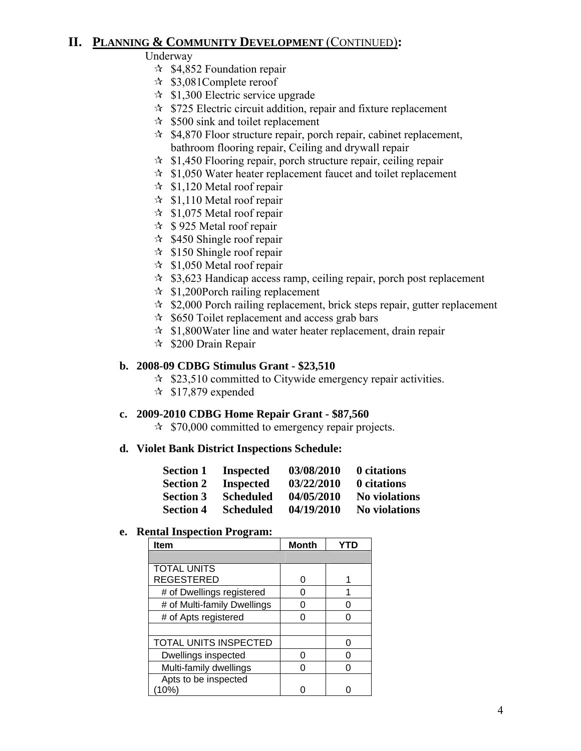# **II. PLANNING & COMMUNITY DEVELOPMENT** (CONTINUED)**:**

#### Underway

- $\approx$  \$4,852 Foundation repair
- $\approx$  \$3,081Complete reroof
- $\approx$  \$1,300 Electric service upgrade
- $\approx$  \$725 Electric circuit addition, repair and fixture replacement
- $\approx$  \$500 sink and toilet replacement
- $\approx$  \$4,870 Floor structure repair, porch repair, cabinet replacement, bathroom flooring repair, Ceiling and drywall repair
- $\approx$  \$1,450 Flooring repair, porch structure repair, ceiling repair
- $\approx$  \$1,050 Water heater replacement faucet and toilet replacement
- $\approx$  \$1,120 Metal roof repair
- $\approx$  \$1,110 Metal roof repair
- $\approx$  \$1,075 Metal roof repair
- $\approx$  \$925 Metal roof repair
- $\approx$  \$450 Shingle roof repair
- $\approx$  \$150 Shingle roof repair
- $\approx$  \$1,050 Metal roof repair
- $\approx$  \$3,623 Handicap access ramp, ceiling repair, porch post replacement
- $\approx$  \$1,200Porch railing replacement
- $\approx$  \$2,000 Porch railing replacement, brick steps repair, gutter replacement
- $\approx$  \$650 Toilet replacement and access grab bars
- $\approx$  \$1,800Water line and water heater replacement, drain repair
- $\approx$  \$200 Drain Repair

#### **b. 2008-09 CDBG Stimulus Grant - \$23,510**

- $\approx$  \$23,510 committed to Citywide emergency repair activities.
- $\approx$  \$17,879 expended

### **c. 2009-2010 CDBG Home Repair Grant - \$87,560**

 $\approx$  \$70,000 committed to emergency repair projects.

#### **d. Violet Bank District Inspections Schedule:**

| <b>Section 1</b> | <b>Inspected</b> | 03/08/2010 | 0 citations          |
|------------------|------------------|------------|----------------------|
| <b>Section 2</b> | <b>Inspected</b> | 03/22/2010 | 0 citations          |
| <b>Section 3</b> | <b>Scheduled</b> | 04/05/2010 | <b>No violations</b> |
| <b>Section 4</b> | <b>Scheduled</b> | 04/19/2010 | <b>No violations</b> |

#### **e. Rental Inspection Program:**

| Item                        | <b>Month</b> |  |
|-----------------------------|--------------|--|
|                             |              |  |
| <b>TOTAL UNITS</b>          |              |  |
| <b>REGESTERED</b>           | O            |  |
| # of Dwellings registered   | O            |  |
| # of Multi-family Dwellings |              |  |
| # of Apts registered        | O            |  |
|                             |              |  |
| TOTAL UNITS INSPECTED       |              |  |
| Dwellings inspected         | ∩            |  |
| Multi-family dwellings      | በ            |  |
| Apts to be inspected        |              |  |
| (10%)                       |              |  |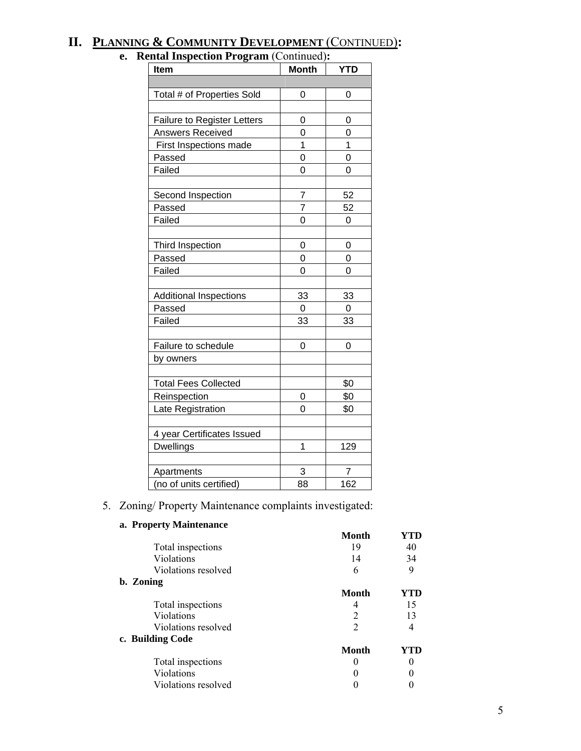|  |  | II. PLANNING & COMMUNITY DEVELOPMENT (CONTINUED): |  |
|--|--|---------------------------------------------------|--|
|  |  |                                                   |  |

# **e. Rental Inspection Program** (Continued)**:**

| <b>Item</b>                        | <b>Month</b>   | <b>YTD</b>     |
|------------------------------------|----------------|----------------|
|                                    |                |                |
| Total # of Properties Sold         | 0              | 0              |
|                                    |                |                |
| <b>Failure to Register Letters</b> | 0              | 0              |
| <b>Answers Received</b>            | 0              | 0              |
| First Inspections made             | 1              | 1              |
| Passed                             | 0              | 0              |
| Failed                             | 0              | 0              |
|                                    |                |                |
| Second Inspection                  | $\overline{7}$ | 52             |
| Passed                             | $\overline{7}$ | 52             |
| Failed                             | 0              | $\Omega$       |
|                                    |                |                |
| Third Inspection                   | 0              | 0              |
| Passed                             | 0              | 0              |
| Failed                             | 0              | $\overline{0}$ |
|                                    |                |                |
| <b>Additional Inspections</b>      | 33             | 33             |
| Passed                             | 0              | 0              |
| Failed                             | 33             | 33             |
|                                    |                |                |
| Failure to schedule                | 0              | 0              |
| by owners                          |                |                |
|                                    |                |                |
| <b>Total Fees Collected</b>        |                | \$0            |
| Reinspection                       | 0              | \$0            |
| Late Registration                  | $\overline{0}$ | \$0            |
|                                    |                |                |
| 4 year Certificates Issued         | 1              |                |
| <b>Dwellings</b>                   |                | 129            |
| Apartments                         | 3              | $\overline{7}$ |
| (no of units certified)            | 88             | 162            |
|                                    |                |                |

### 5. Zoning/ Property Maintenance complaints investigated:

### **a. Property Maintenance**

|                     | Month                       | YTD |
|---------------------|-----------------------------|-----|
| Total inspections   | 19                          | 40  |
| Violations          | 14                          | 34  |
| Violations resolved | 6                           |     |
| b. Zoning           |                             |     |
|                     | <b>Month</b>                | YTD |
| Total inspections   | 4                           | 15  |
| Violations          | 2                           | 13  |
| Violations resolved | $\mathcal{D}_{\mathcal{L}}$ |     |
| c. Building Code    |                             |     |
|                     | <b>Month</b>                | YTD |
| Total inspections   | 0                           |     |
| Violations          |                             |     |
| Violations resolved |                             |     |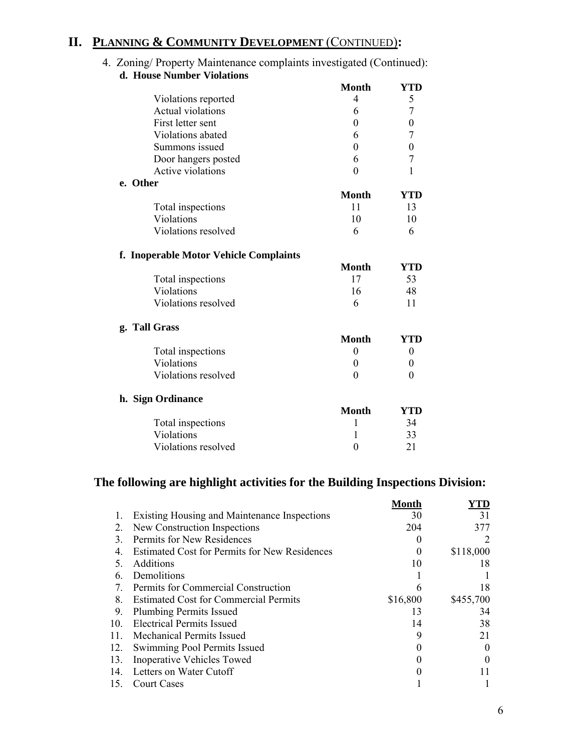# **II. PLANNING & COMMUNITY DEVELOPMENT** (CONTINUED)**:**

#### 4. Zoning/ Property Maintenance complaints investigated (Continued): **d. House Number Violations**

|          |                                        | <b>Month</b>     | YTD              |
|----------|----------------------------------------|------------------|------------------|
|          | Violations reported                    | $\overline{4}$   | 5                |
|          | <b>Actual violations</b>               | 6                | $\tau$           |
|          | First letter sent                      | $\theta$         | $\boldsymbol{0}$ |
|          | Violations abated                      | 6                | $\boldsymbol{7}$ |
|          | Summons issued                         | $\theta$         | $\boldsymbol{0}$ |
|          | Door hangers posted                    | 6                | $\overline{7}$   |
|          | Active violations                      | $\theta$         | 1                |
| e. Other |                                        |                  |                  |
|          |                                        | <b>Month</b>     | YTD              |
|          | Total inspections                      | 11               | 13               |
|          | Violations                             | 10               | 10               |
|          | Violations resolved                    | 6                | 6                |
|          | f. Inoperable Motor Vehicle Complaints |                  |                  |
|          |                                        | <b>Month</b>     | YTD              |
|          | Total inspections                      | 17               | 53               |
|          | Violations                             | 16               | 48               |
|          | Violations resolved                    | 6                | 11               |
|          | g. Tall Grass                          |                  |                  |
|          |                                        | <b>Month</b>     | YTD              |
|          | Total inspections                      | $\boldsymbol{0}$ | 0                |
|          | Violations                             | $\theta$         | $\theta$         |
|          | Violations resolved                    | $\theta$         | $\Omega$         |
|          | h. Sign Ordinance                      |                  |                  |
|          |                                        | <b>Month</b>     | YTD              |
|          | Total inspections                      | 1                | 34               |
|          | Violations                             | 1                | 33               |
|          | Violations resolved                    | 0                | 21               |
|          |                                        |                  |                  |

# **The following are highlight activities for the Building Inspections Division:**

|                 |                                                      | Month    |           |
|-----------------|------------------------------------------------------|----------|-----------|
|                 | Existing Housing and Maintenance Inspections         | 30       | 31        |
| 2.              | New Construction Inspections                         | 204      | 377       |
| 3               | Permits for New Residences                           | $\theta$ |           |
| 4.              | <b>Estimated Cost for Permits for New Residences</b> | $\theta$ | \$118,000 |
| 5.              | <b>Additions</b>                                     | 10       | 18        |
| 6.              | Demolitions                                          |          |           |
| 7.              | Permits for Commercial Construction                  | 6        | 18        |
| 8.              | <b>Estimated Cost for Commercial Permits</b>         | \$16,800 | \$455,700 |
| 9.              | <b>Plumbing Permits Issued</b>                       | 13       | 34        |
| 10 <sub>1</sub> | <b>Electrical Permits Issued</b>                     | 14       | 38        |
| 11.             | <b>Mechanical Permits Issued</b>                     | 9        | 21        |
| 12.             | Swimming Pool Permits Issued                         |          | $\theta$  |
| 13.             | <b>Inoperative Vehicles Towed</b>                    |          |           |
| 14.             | Letters on Water Cutoff                              |          |           |
| 15.             | <b>Court Cases</b>                                   |          |           |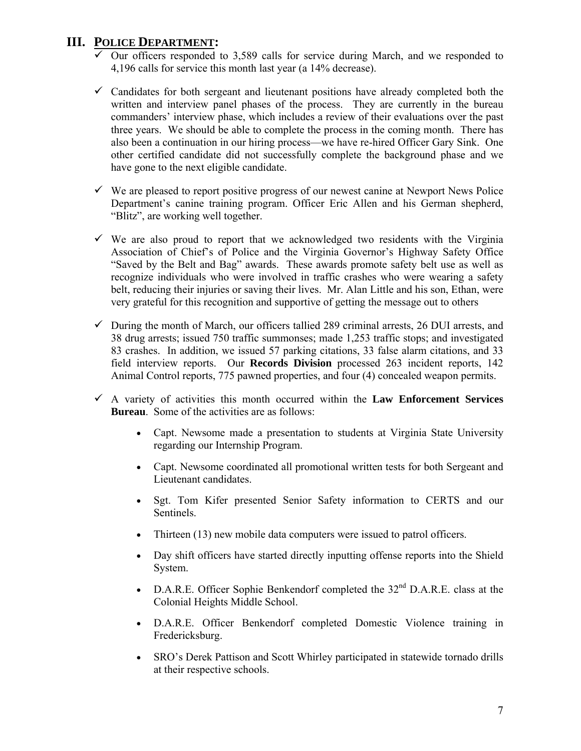# **III. POLICE DEPARTMENT:**

- $\overline{\smash{66}}$  Our officers responded to 3,589 calls for service during March, and we responded to 4,196 calls for service this month last year (a 14% decrease).
- $\checkmark$  Candidates for both sergeant and lieutenant positions have already completed both the written and interview panel phases of the process. They are currently in the bureau commanders' interview phase, which includes a review of their evaluations over the past three years. We should be able to complete the process in the coming month. There has also been a continuation in our hiring process—we have re-hired Officer Gary Sink. One other certified candidate did not successfully complete the background phase and we have gone to the next eligible candidate.
- $\checkmark$  We are pleased to report positive progress of our newest canine at Newport News Police Department's canine training program. Officer Eric Allen and his German shepherd, "Blitz", are working well together.
- $\checkmark$  We are also proud to report that we acknowledged two residents with the Virginia Association of Chief's of Police and the Virginia Governor's Highway Safety Office "Saved by the Belt and Bag" awards. These awards promote safety belt use as well as recognize individuals who were involved in traffic crashes who were wearing a safety belt, reducing their injuries or saving their lives. Mr. Alan Little and his son, Ethan, were very grateful for this recognition and supportive of getting the message out to others
- $\checkmark$  During the month of March, our officers tallied 289 criminal arrests, 26 DUI arrests, and 38 drug arrests; issued 750 traffic summonses; made 1,253 traffic stops; and investigated 83 crashes. In addition, we issued 57 parking citations, 33 false alarm citations, and 33 field interview reports. Our **Records Division** processed 263 incident reports, 142 Animal Control reports, 775 pawned properties, and four (4) concealed weapon permits.
- $\checkmark$  A variety of activities this month occurred within the **Law Enforcement Services Bureau**. Some of the activities are as follows:
	- Capt. Newsome made a presentation to students at Virginia State University regarding our Internship Program.
	- Capt. Newsome coordinated all promotional written tests for both Sergeant and Lieutenant candidates.
	- Sgt. Tom Kifer presented Senior Safety information to CERTS and our Sentinels.
	- Thirteen (13) new mobile data computers were issued to patrol officers.
	- Day shift officers have started directly inputting offense reports into the Shield System.
	- D.A.R.E. Officer Sophie Benkendorf completed the  $32<sup>nd</sup>$  D.A.R.E. class at the Colonial Heights Middle School.
	- D.A.R.E. Officer Benkendorf completed Domestic Violence training in Fredericksburg.
	- SRO's Derek Pattison and Scott Whirley participated in statewide tornado drills at their respective schools.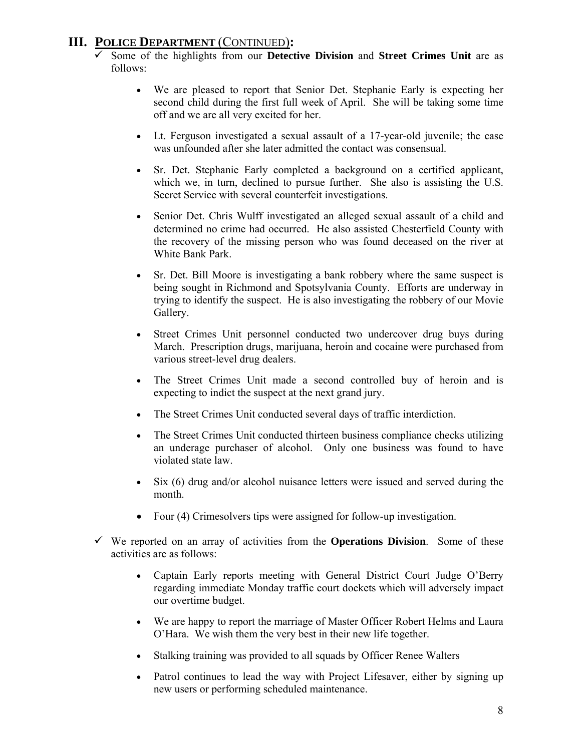# **III. POLICE DEPARTMENT** (CONTINUED)**:**

- 9 Some of the highlights from our **Detective Division** and **Street Crimes Unit** are as follows:
	- We are pleased to report that Senior Det. Stephanie Early is expecting her second child during the first full week of April. She will be taking some time off and we are all very excited for her.
	- Lt. Ferguson investigated a sexual assault of a 17-year-old juvenile; the case was unfounded after she later admitted the contact was consensual.
	- Sr. Det. Stephanie Early completed a background on a certified applicant, which we, in turn, declined to pursue further. She also is assisting the U.S. Secret Service with several counterfeit investigations.
	- Senior Det. Chris Wulff investigated an alleged sexual assault of a child and determined no crime had occurred. He also assisted Chesterfield County with the recovery of the missing person who was found deceased on the river at White Bank Park.
	- Sr. Det. Bill Moore is investigating a bank robbery where the same suspect is being sought in Richmond and Spotsylvania County. Efforts are underway in trying to identify the suspect. He is also investigating the robbery of our Movie Gallery.
	- Street Crimes Unit personnel conducted two undercover drug buys during March. Prescription drugs, marijuana, heroin and cocaine were purchased from various street-level drug dealers.
	- The Street Crimes Unit made a second controlled buy of heroin and is expecting to indict the suspect at the next grand jury.
	- The Street Crimes Unit conducted several days of traffic interdiction.
	- The Street Crimes Unit conducted thirteen business compliance checks utilizing an underage purchaser of alcohol. Only one business was found to have violated state law.
	- Six (6) drug and/or alcohol nuisance letters were issued and served during the month.
	- Four (4) Crimesolvers tips were assigned for follow-up investigation.
- $\checkmark$  We reported on an array of activities from the **Operations Division**. Some of these activities are as follows:
	- Captain Early reports meeting with General District Court Judge O'Berry regarding immediate Monday traffic court dockets which will adversely impact our overtime budget.
	- We are happy to report the marriage of Master Officer Robert Helms and Laura O'Hara. We wish them the very best in their new life together.
	- Stalking training was provided to all squads by Officer Renee Walters
	- Patrol continues to lead the way with Project Lifesaver, either by signing up new users or performing scheduled maintenance.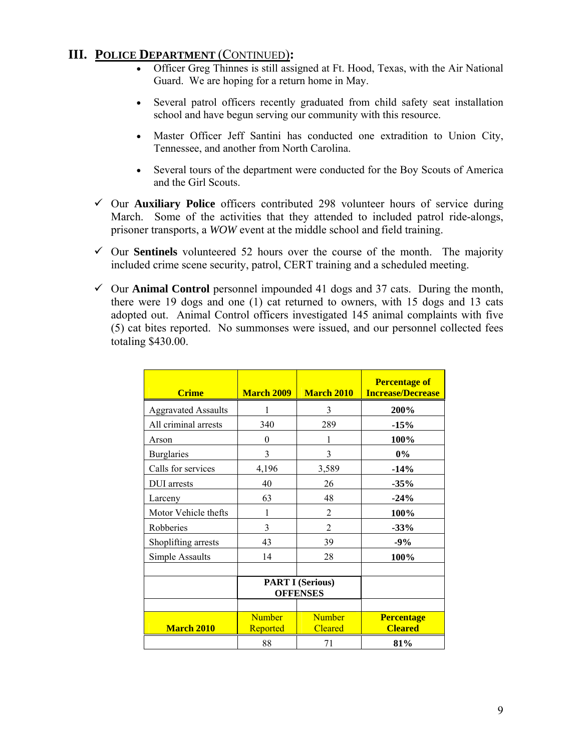### **III. POLICE DEPARTMENT** (CONTINUED)**:**

- Officer Greg Thinnes is still assigned at Ft. Hood, Texas, with the Air National Guard. We are hoping for a return home in May.
- Several patrol officers recently graduated from child safety seat installation school and have begun serving our community with this resource.
- Master Officer Jeff Santini has conducted one extradition to Union City, Tennessee, and another from North Carolina.
- Several tours of the department were conducted for the Boy Scouts of America and the Girl Scouts.
- 9 Our **Auxiliary Police** officers contributed 298 volunteer hours of service during March. Some of the activities that they attended to included patrol ride-alongs, prisoner transports, a *WOW* event at the middle school and field training.
- $\checkmark$  Our **Sentinels** volunteered 52 hours over the course of the month. The majority included crime scene security, patrol, CERT training and a scheduled meeting.
- $\checkmark$  Our **Animal Control** personnel impounded 41 dogs and 37 cats. During the month, there were 19 dogs and one (1) cat returned to owners, with 15 dogs and 13 cats adopted out. Animal Control officers investigated 145 animal complaints with five (5) cat bites reported. No summonses were issued, and our personnel collected fees totaling \$430.00.

| <b>Crime</b>               | <b>March 2009</b>         | <b>March 2010</b>                          | <b>Percentage of</b><br><b>Increase/Decrease</b> |
|----------------------------|---------------------------|--------------------------------------------|--------------------------------------------------|
| <b>Aggravated Assaults</b> | 1                         | 3                                          | 200%                                             |
| All criminal arrests       | 340                       | 289                                        | $-15%$                                           |
| Arson                      | $\theta$                  |                                            | 100%                                             |
| <b>Burglaries</b>          | 3                         | 3                                          | $0\%$                                            |
| Calls for services         | 4,196                     | 3,589                                      | $-14%$                                           |
| DUI arrests                | 40                        | 26                                         | $-35%$                                           |
| Larceny                    | 63                        | 48                                         | $-24%$                                           |
| Motor Vehicle thefts       | 1                         | $\overline{2}$                             | 100%                                             |
| Robberies                  | 3                         | $\mathfrak{D}$                             | $-33%$                                           |
| Shoplifting arrests        | 43                        | 39                                         | $-9%$                                            |
| Simple Assaults            | 14                        | 28                                         | 100%                                             |
|                            |                           |                                            |                                                  |
|                            |                           | <b>PART I (Serious)</b><br><b>OFFENSES</b> |                                                  |
|                            |                           |                                            |                                                  |
| <b>March 2010</b>          | <b>Number</b><br>Reported | <b>Number</b><br><b>Cleared</b>            | <b>Percentage</b><br><b>Cleared</b>              |
|                            | 88                        | 71                                         | 81%                                              |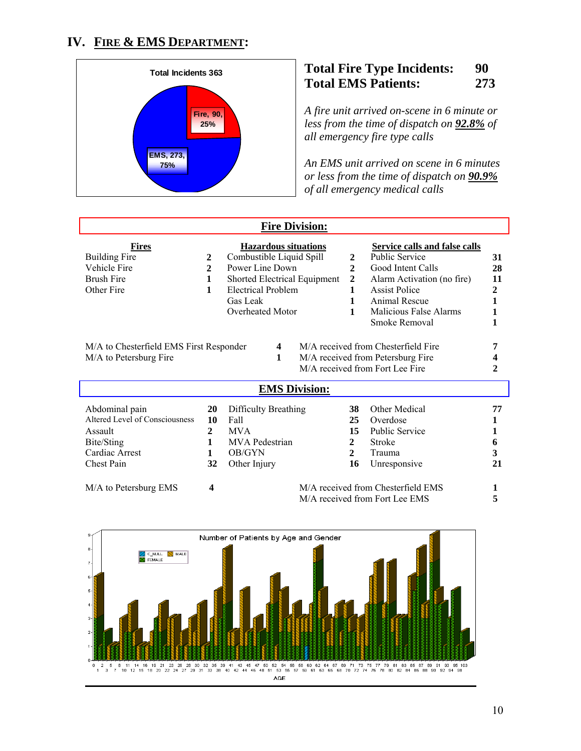# **IV. FIRE & EMS DEPARTMENT:**



# **Total Fire Type Incidents: 90 Total EMS Patients: 273**

*A fire unit arrived on-scene in 6 minute or less from the time of dispatch on 92.8% of all emergency fire type calls* 

*An EMS unit arrived on scene in 6 minutes or less from the time of dispatch on 90.9% of all emergency medical calls*

| <b>Fire Division:</b>                                                                      |                     |          |                                                                  |                                                                                         |                                                              |                                                                                                                                                                                               |                     |
|--------------------------------------------------------------------------------------------|---------------------|----------|------------------------------------------------------------------|-----------------------------------------------------------------------------------------|--------------------------------------------------------------|-----------------------------------------------------------------------------------------------------------------------------------------------------------------------------------------------|---------------------|
| <b>Fires</b><br><b>Building Fire</b><br>Vehicle Fire<br><b>Brush Fire</b><br>Other Fire    | $\overline{2}$<br>2 | Gas Leak | Power Line Down<br><b>Electrical Problem</b><br>Overheated Motor | <b>Hazardous situations</b><br>Combustible Liquid Spill<br>Shorted Electrical Equipment | $\mathbf{2}$<br>$\mathbf{2}$<br>$\mathbf{2}$<br>$\mathbf{1}$ | Service calls and false calls<br><b>Public Service</b><br>Good Intent Calls<br>Alarm Activation (no fire)<br><b>Assist Police</b><br>Animal Rescue<br>Malicious False Alarms<br>Smoke Removal | 31<br>28<br>11<br>2 |
| M/A to Chesterfield EMS First Responder<br>M/A to Petersburg Fire                          |                     |          | 4<br>$\mathbf{1}$                                                |                                                                                         |                                                              | M/A received from Chesterfield Fire<br>M/A received from Petersburg Fire<br>M/A received from Fort Lee Fire                                                                                   |                     |
|                                                                                            |                     |          |                                                                  | <b>EMS Division:</b>                                                                    |                                                              |                                                                                                                                                                                               |                     |
| $\mathbf{1}$ $\mathbf{1}$ $\mathbf{1}$ $\mathbf{1}$ $\mathbf{1}$ $\mathbf{1}$ $\mathbf{1}$ |                     |          | $\mathbf{1}$ $\mathbf{R}$ $\mathbf{1}$                           |                                                                                         |                                                              | $20 \t 21 \t 11$                                                                                                                                                                              | --                  |

| Abdominal pain<br>Altered Level of Consciousness<br>Assault<br>Bite/Sting<br>Cardiac Arrest<br><b>Chest Pain</b> | 20<br>10<br>32 | Difficulty Breathing<br>Fall<br><b>MVA</b><br><b>MVA</b> Pedestrian<br>OB/GYN<br>Other Injury | 38<br>25<br>15<br>16 | Other Medical<br>Overdose<br><b>Public Service</b><br><b>Stroke</b><br>Trauma<br>Unresponsive | 77 |
|------------------------------------------------------------------------------------------------------------------|----------------|-----------------------------------------------------------------------------------------------|----------------------|-----------------------------------------------------------------------------------------------|----|
| M/A to Petersburg EMS                                                                                            | 4              |                                                                                               |                      | M/A received from Chesterfield EMS<br>M/A received from Fort Lee EMS                          |    |



٦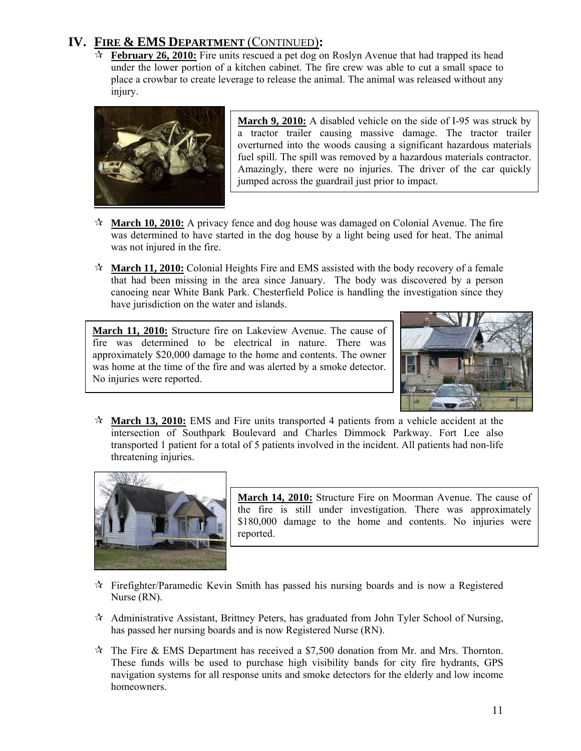# **IV. FIRE & EMS DEPARTMENT** (CONTINUED)**:**

 $\hat{\mathcal{F}}$  **February 26, 2010:** Fire units rescued a pet dog on Roslyn Avenue that had trapped its head under the lower portion of a kitchen cabinet. The fire crew was able to cut a small space to place a crowbar to create leverage to release the animal. The animal was released without any injury.



**March 9, 2010:** A disabled vehicle on the side of I-95 was struck by a tractor trailer causing massive damage. The tractor trailer overturned into the woods causing a significant hazardous materials fuel spill. The spill was removed by a hazardous materials contractor. Amazingly, there were no injuries. The driver of the car quickly jumped across the guardrail just prior to impact.

- **March 10, 2010:** A privacy fence and dog house was damaged on Colonial Avenue. The fire was determined to have started in the dog house by a light being used for heat. The animal was not injured in the fire.
- **March 11, 2010:** Colonial Heights Fire and EMS assisted with the body recovery of a female that had been missing in the area since January. The body was discovered by a person canoeing near White Bank Park. Chesterfield Police is handling the investigation since they have jurisdiction on the water and islands.

**March 11, 2010:** Structure fire on Lakeview Avenue. The cause of fire was determined to be electrical in nature. There was approximately \$20,000 damage to the home and contents. The owner was home at the time of the fire and was alerted by a smoke detector. No injuries were reported.



 **March 13, 2010:** EMS and Fire units transported 4 patients from a vehicle accident at the intersection of Southpark Boulevard and Charles Dimmock Parkway. Fort Lee also transported 1 patient for a total of 5 patients involved in the incident. All patients had non-life threatening injuries.



**March 14, 2010:** Structure Fire on Moorman Avenue. The cause of the fire is still under investigation. There was approximately \$180,000 damage to the home and contents. No injuries were reported.

- $\hat{\mathcal{F}}$  Firefighter/Paramedic Kevin Smith has passed his nursing boards and is now a Registered Nurse (RN).
- $\mathcal{A}$  Administrative Assistant, Brittney Peters, has graduated from John Tyler School of Nursing, has passed her nursing boards and is now Registered Nurse (RN).
- $\mathcal{R}$  The Fire & EMS Department has received a \$7,500 donation from Mr. and Mrs. Thornton. These funds wills be used to purchase high visibility bands for city fire hydrants, GPS navigation systems for all response units and smoke detectors for the elderly and low income homeowners.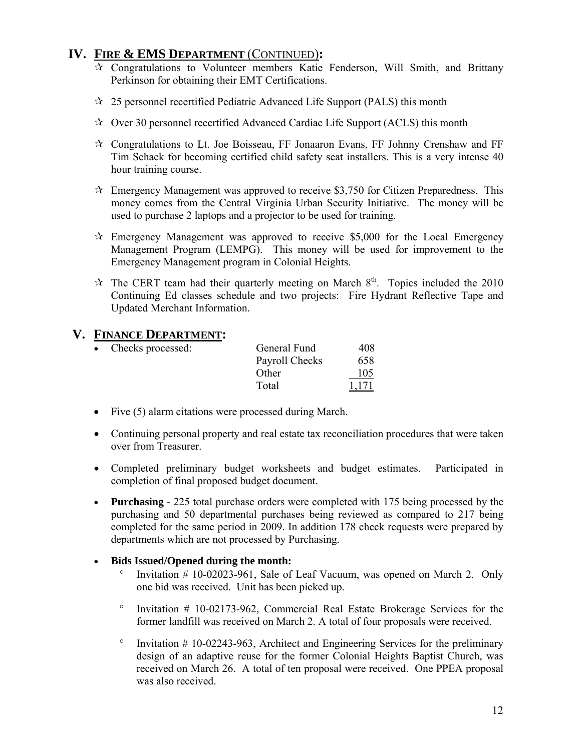# **IV. FIRE & EMS DEPARTMENT** (CONTINUED)**:**

- Congratulations to Volunteer members Katie Fenderson, Will Smith, and Brittany Perkinson for obtaining their EMT Certifications.
- $\approx$  25 personnel recertified Pediatric Advanced Life Support (PALS) this month
- $\star$  Over 30 personnel recertified Advanced Cardiac Life Support (ACLS) this month
- Congratulations to Lt. Joe Boisseau, FF Jonaaron Evans, FF Johnny Crenshaw and FF Tim Schack for becoming certified child safety seat installers. This is a very intense 40 hour training course.
- $\approx$  Emergency Management was approved to receive \$3,750 for Citizen Preparedness. This money comes from the Central Virginia Urban Security Initiative. The money will be used to purchase 2 laptops and a projector to be used for training.
- $\star$  Emergency Management was approved to receive \$5,000 for the Local Emergency Management Program (LEMPG). This money will be used for improvement to the Emergency Management program in Colonial Heights.
- $\approx$  The CERT team had their quarterly meeting on March  $8<sup>th</sup>$ . Topics included the 2010 Continuing Ed classes schedule and two projects: Fire Hydrant Reflective Tape and Updated Merchant Information.

### **V. FINANCE DEPARTMENT:**

| Checks processed: | General Fund   | 408   |
|-------------------|----------------|-------|
|                   | Payroll Checks | 658   |
|                   | Other          | 105   |
|                   | Total          | 1,171 |

- Five (5) alarm citations were processed during March.
- Continuing personal property and real estate tax reconciliation procedures that were taken over from Treasurer.
- Completed preliminary budget worksheets and budget estimates. Participated in completion of final proposed budget document.
- **Purchasing**  225 total purchase orders were completed with 175 being processed by the purchasing and 50 departmental purchases being reviewed as compared to 217 being completed for the same period in 2009. In addition 178 check requests were prepared by departments which are not processed by Purchasing.

### • **Bids Issued/Opened during the month:**

- ° Invitation # 10-02023-961, Sale of Leaf Vacuum, was opened on March 2. Only one bid was received. Unit has been picked up.
- ° Invitation # 10-02173-962, Commercial Real Estate Brokerage Services for the former landfill was received on March 2. A total of four proposals were received.
- $\degree$  Invitation # 10-02243-963, Architect and Engineering Services for the preliminary design of an adaptive reuse for the former Colonial Heights Baptist Church, was received on March 26. A total of ten proposal were received. One PPEA proposal was also received.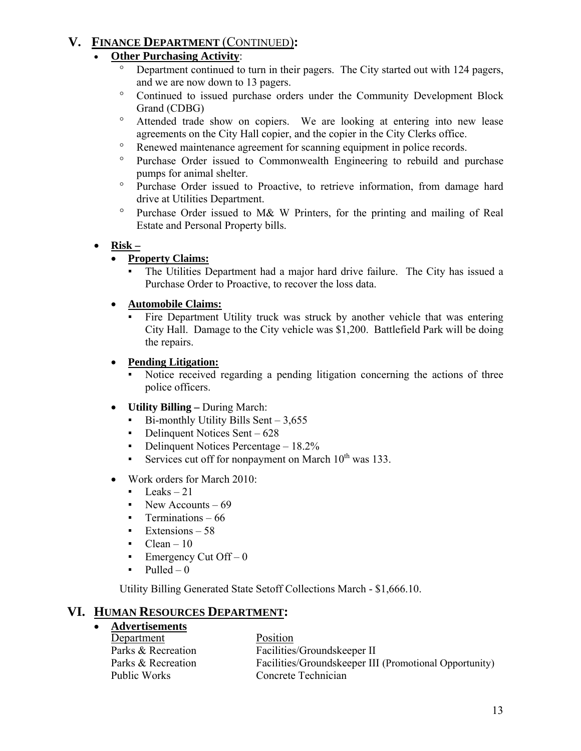# **V. FINANCE DEPARTMENT** (CONTINUED)**:**

# • **Other Purchasing Activity**:

- Department continued to turn in their pagers. The City started out with 124 pagers, and we are now down to 13 pagers.
- ° Continued to issued purchase orders under the Community Development Block Grand (CDBG)
- ° Attended trade show on copiers. We are looking at entering into new lease agreements on the City Hall copier, and the copier in the City Clerks office.
- ° Renewed maintenance agreement for scanning equipment in police records.
- ° Purchase Order issued to Commonwealth Engineering to rebuild and purchase pumps for animal shelter.
- ° Purchase Order issued to Proactive, to retrieve information, from damage hard drive at Utilities Department.
- ° Purchase Order issued to M& W Printers, for the printing and mailing of Real Estate and Personal Property bills.

### • **Risk –**

### • **Property Claims:**

The Utilities Department had a major hard drive failure. The City has issued a Purchase Order to Proactive, to recover the loss data.

### • **Automobile Claims:**

Fire Department Utility truck was struck by another vehicle that was entering City Hall. Damage to the City vehicle was \$1,200. Battlefield Park will be doing the repairs.

### • **Pending Litigation:**

- Notice received regarding a pending litigation concerning the actions of three police officers.
- **Utility Billing** During March:
	- $Bi$ -monthly Utility Bills Sent 3,655
	- Delinquent Notices Sent 628
	- Delinquent Notices Percentage 18.2%
	- Services cut off for nonpayment on March  $10^{th}$  was 133.
- Work orders for March 2010:
	- $\text{Leaks} 21$
	- New Accounts  $-69$
	- **•** Terminations 66
	- $Extensions 58$
	- $Clean 10$
	- **•** Emergency Cut Off  $-0$
	- Pulled  $0$

Utility Billing Generated State Setoff Collections March - \$1,666.10.

# **VI. HUMAN RESOURCES DEPARTMENT:**

• **Advertisements**

| Department         | Position                                               |
|--------------------|--------------------------------------------------------|
| Parks & Recreation | Facilities/Groundskeeper II                            |
| Parks & Recreation | Facilities/Groundskeeper III (Promotional Opportunity) |
| Public Works       | Concrete Technician                                    |
|                    |                                                        |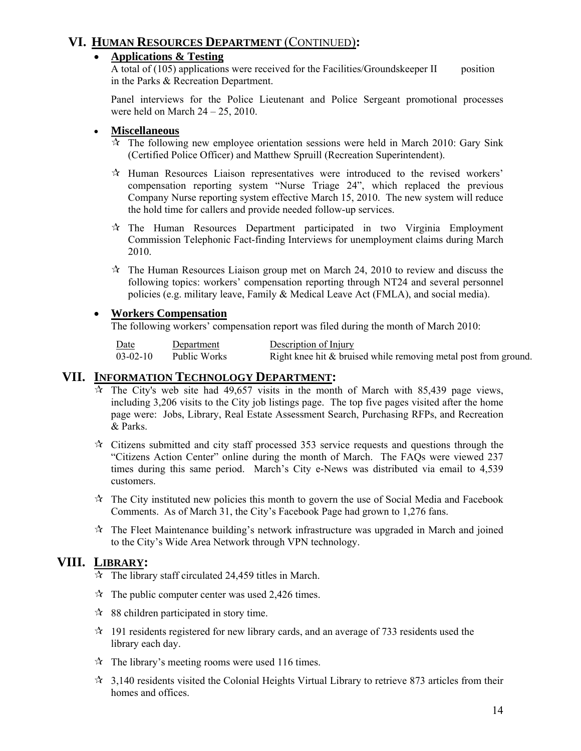# **VI. HUMAN RESOURCES DEPARTMENT** (CONTINUED)**:**

#### • **Applications & Testing**

A total of (105) applications were received for the Facilities/Groundskeeper II position in the Parks & Recreation Department.

Panel interviews for the Police Lieutenant and Police Sergeant promotional processes were held on March 24 – 25, 2010.

#### • **Miscellaneous**

- $\mathcal{R}$  The following new employee orientation sessions were held in March 2010: Gary Sink (Certified Police Officer) and Matthew Spruill (Recreation Superintendent).
- $\mathcal{A}$  Human Resources Liaison representatives were introduced to the revised workers' compensation reporting system "Nurse Triage 24", which replaced the previous Company Nurse reporting system effective March 15, 2010. The new system will reduce the hold time for callers and provide needed follow-up services.
- $\hat{\mathcal{F}}$  The Human Resources Department participated in two Virginia Employment Commission Telephonic Fact-finding Interviews for unemployment claims during March 2010.
- $\mathcal{R}$  The Human Resources Liaison group met on March 24, 2010 to review and discuss the following topics: workers' compensation reporting through NT24 and several personnel policies (e.g. military leave, Family & Medical Leave Act (FMLA), and social media).

#### • **Workers Compensation**

The following workers' compensation report was filed during the month of March 2010:

Date Department Description of Injury 03-02-10 Public Works Right knee hit & bruised while removing metal post from ground.

### **VII. INFORMATION TECHNOLOGY DEPARTMENT:**

- $\hat{x}$  The City's web site had 49,657 visits in the month of March with 85,439 page views, including 3,206 visits to the City job listings page. The top five pages visited after the home page were: Jobs, Library, Real Estate Assessment Search, Purchasing RFPs, and Recreation & Parks.
- $\mathcal{R}$  Citizens submitted and city staff processed 353 service requests and questions through the "Citizens Action Center" online during the month of March. The FAQs were viewed 237 times during this same period. March's City e-News was distributed via email to 4,539 customers.
- $\mathcal{R}$  The City instituted new policies this month to govern the use of Social Media and Facebook Comments. As of March 31, the City's Facebook Page had grown to 1,276 fans.
- $\mathcal{R}$  The Fleet Maintenance building's network infrastructure was upgraded in March and joined to the City's Wide Area Network through VPN technology.

# **VIII. LIBRARY:**

- $\overrightarrow{x}$  The library staff circulated 24,459 titles in March.
- $\approx$  The public computer center was used 2,426 times.
- $\approx$  88 children participated in story time.
- $\star$  191 residents registered for new library cards, and an average of 733 residents used the library each day.
- $\mathcal{R}$  The library's meeting rooms were used 116 times.
- $\approx$  3,140 residents visited the Colonial Heights Virtual Library to retrieve 873 articles from their homes and offices.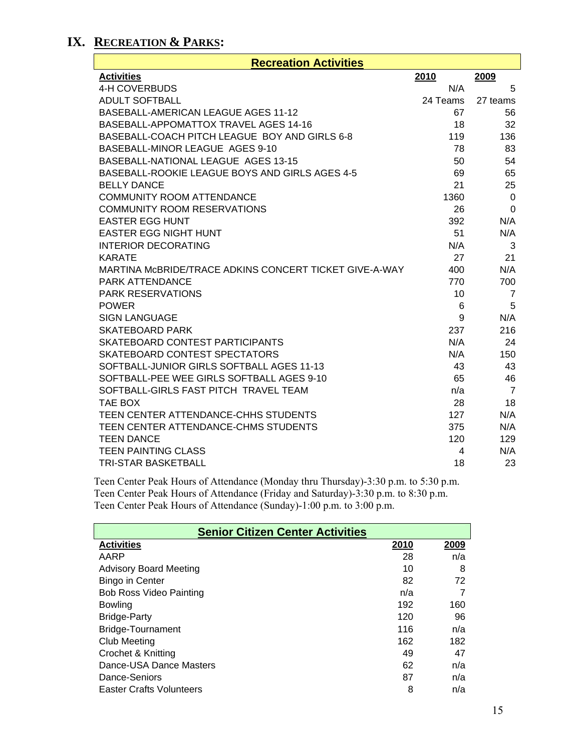# **IX. RECREATION & PARKS:**

| <b>Recreation Activities</b>                           |          |                |  |  |
|--------------------------------------------------------|----------|----------------|--|--|
| <b>Activities</b>                                      | 2010     | 2009           |  |  |
| <b>4-H COVERBUDS</b>                                   | N/A      | 5              |  |  |
| <b>ADULT SOFTBALL</b>                                  | 24 Teams | 27 teams       |  |  |
| <b>BASEBALL-AMERICAN LEAGUE AGES 11-12</b>             | 67       | 56             |  |  |
| BASEBALL-APPOMATTOX TRAVEL AGES 14-16                  | 18       | 32             |  |  |
| BASEBALL-COACH PITCH LEAGUE BOY AND GIRLS 6-8          | 119      | 136            |  |  |
| BASEBALL-MINOR LEAGUE AGES 9-10                        | 78       | 83             |  |  |
| <b>BASEBALL-NATIONAL LEAGUE AGES 13-15</b>             | 50       | 54             |  |  |
| BASEBALL-ROOKIE LEAGUE BOYS AND GIRLS AGES 4-5         | 69       | 65             |  |  |
| <b>BELLY DANCE</b>                                     | 21       | 25             |  |  |
| <b>COMMUNITY ROOM ATTENDANCE</b>                       | 1360     | $\mathbf 0$    |  |  |
| <b>COMMUNITY ROOM RESERVATIONS</b>                     | 26       | $\Omega$       |  |  |
| <b>EASTER EGG HUNT</b>                                 | 392      | N/A            |  |  |
| <b>EASTER EGG NIGHT HUNT</b>                           | 51       | N/A            |  |  |
| <b>INTERIOR DECORATING</b>                             | N/A      | 3              |  |  |
| <b>KARATE</b>                                          | 27       | 21             |  |  |
| MARTINA MCBRIDE/TRACE ADKINS CONCERT TICKET GIVE-A-WAY | 400      | N/A            |  |  |
| <b>PARK ATTENDANCE</b>                                 | 770      | 700            |  |  |
| <b>PARK RESERVATIONS</b>                               | 10       | $\overline{7}$ |  |  |
| <b>POWER</b>                                           | 6        | 5              |  |  |
| <b>SIGN LANGUAGE</b>                                   | 9        | N/A            |  |  |
| <b>SKATEBOARD PARK</b>                                 | 237      | 216            |  |  |
| SKATEBOARD CONTEST PARTICIPANTS                        | N/A      | 24             |  |  |
| SKATEBOARD CONTEST SPECTATORS                          | N/A      | 150            |  |  |
| SOFTBALL-JUNIOR GIRLS SOFTBALL AGES 11-13              | 43       | 43             |  |  |
| SOFTBALL-PEE WEE GIRLS SOFTBALL AGES 9-10              | 65       | 46             |  |  |
| SOFTBALL-GIRLS FAST PITCH TRAVEL TEAM                  | n/a      | $\overline{7}$ |  |  |
| TAE BOX                                                | 28       | 18             |  |  |
| TEEN CENTER ATTENDANCE-CHHS STUDENTS                   | 127      | N/A            |  |  |
| TEEN CENTER ATTENDANCE-CHMS STUDENTS                   | 375      | N/A            |  |  |
| <b>TEEN DANCE</b>                                      | 120      | 129            |  |  |
| <b>TEEN PAINTING CLASS</b>                             | 4        | N/A            |  |  |
| <b>TRI-STAR BASKETBALL</b>                             | 18       | 23             |  |  |

Teen Center Peak Hours of Attendance (Monday thru Thursday)-3:30 p.m. to 5:30 p.m. Teen Center Peak Hours of Attendance (Friday and Saturday)-3:30 p.m. to 8:30 p.m. Teen Center Peak Hours of Attendance (Sunday)-1:00 p.m. to 3:00 p.m.

| <b>Senior Citizen Center Activities</b> |      |      |  |
|-----------------------------------------|------|------|--|
| <b>Activities</b>                       | 2010 | 2009 |  |
| AARP                                    | 28   | n/a  |  |
| <b>Advisory Board Meeting</b>           | 10   | 8    |  |
| <b>Bingo in Center</b>                  | 82   | 72   |  |
| <b>Bob Ross Video Painting</b>          | n/a  | 7    |  |
| <b>Bowling</b>                          | 192  | 160  |  |
| <b>Bridge-Party</b>                     | 120  | 96   |  |
| <b>Bridge-Tournament</b>                | 116  | n/a  |  |
| Club Meeting                            | 162  | 182  |  |
| Crochet & Knitting                      | 49   | 47   |  |
| Dance-USA Dance Masters                 | 62   | n/a  |  |
| Dance-Seniors                           | 87   | n/a  |  |
| <b>Easter Crafts Volunteers</b>         | 8    | n/a  |  |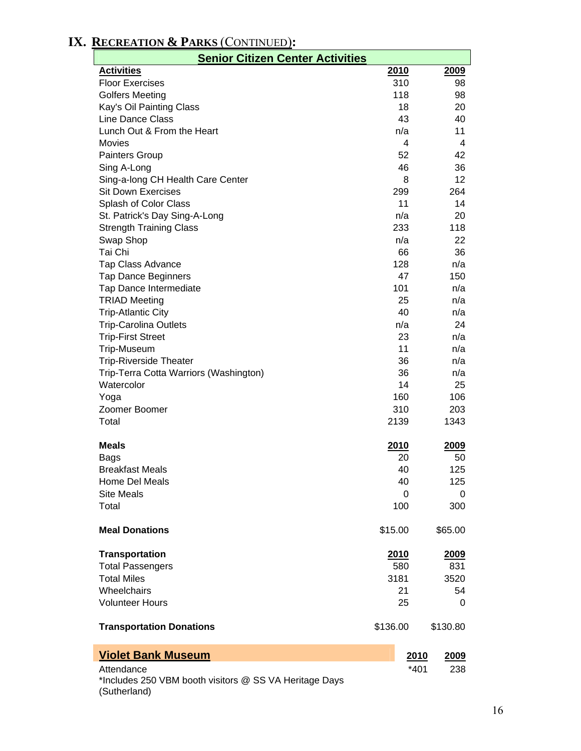# **IX. RECREATION & PARKS** (CONTINUED)**:**

| <b>Senior Citizen Center Activities</b>                |          |             |             |
|--------------------------------------------------------|----------|-------------|-------------|
| <b>Activities</b>                                      |          | 2010        | 2009        |
| <b>Floor Exercises</b>                                 |          | 310         | 98          |
| <b>Golfers Meeting</b>                                 |          | 118         | 98          |
| Kay's Oil Painting Class                               |          | 18          | 20          |
| Line Dance Class                                       |          | 43          | 40          |
| Lunch Out & From the Heart                             |          | n/a         | 11          |
| <b>Movies</b>                                          |          | 4           | 4           |
| <b>Painters Group</b>                                  |          | 52          | 42          |
| Sing A-Long                                            |          | 46          | 36          |
| Sing-a-long CH Health Care Center                      |          | 8           | 12          |
| <b>Sit Down Exercises</b>                              |          | 299         | 264         |
| Splash of Color Class                                  |          | 11          | 14          |
| St. Patrick's Day Sing-A-Long                          |          | n/a         | 20          |
| <b>Strength Training Class</b>                         |          | 233         | 118         |
| Swap Shop                                              |          | n/a         | 22          |
| Tai Chi                                                |          | 66          | 36          |
| Tap Class Advance                                      |          | 128         | n/a         |
| <b>Tap Dance Beginners</b>                             |          | 47          | 150         |
| Tap Dance Intermediate                                 |          | 101         | n/a         |
| <b>TRIAD Meeting</b>                                   |          | 25          | n/a         |
| <b>Trip-Atlantic City</b>                              |          | 40          | n/a         |
| <b>Trip-Carolina Outlets</b>                           |          | n/a         | 24          |
| <b>Trip-First Street</b>                               |          | 23          | n/a         |
| Trip-Museum                                            |          | 11          | n/a         |
| <b>Trip-Riverside Theater</b>                          |          | 36          | n/a         |
| Trip-Terra Cotta Warriors (Washington)                 |          | 36          | n/a         |
| Watercolor                                             |          | 14          | 25          |
| Yoga                                                   |          | 160         | 106         |
| Zoomer Boomer                                          |          | 310         | 203         |
| Total                                                  |          | 2139        | 1343        |
| <b>Meals</b>                                           |          | 2010        | 2009        |
| <b>Bags</b>                                            |          | 20          | 50          |
| <b>Breakfast Meals</b>                                 |          | 40          | 125         |
| Home Del Meals                                         |          | 40          | 125         |
| <b>Site Meals</b>                                      |          | 0           | 0           |
| Total                                                  |          | 100         | 300         |
| <b>Meal Donations</b>                                  | \$15.00  |             | \$65.00     |
| <b>Transportation</b>                                  |          | 2010        | <u>2009</u> |
| <b>Total Passengers</b>                                |          | 580         | 831         |
| <b>Total Miles</b>                                     |          | 3181        | 3520        |
| Wheelchairs                                            |          | 21          | 54          |
| <b>Volunteer Hours</b>                                 |          | 25          | 0           |
| <b>Transportation Donations</b>                        | \$136.00 |             | \$130.80    |
| <b>Violet Bank Museum</b>                              |          | <u>2010</u> | 2009        |
| Attendance                                             |          | $*401$      | 238         |
| *Includes 250 VBM booth visitors @ SS VA Heritage Days |          |             |             |

(Sutherland)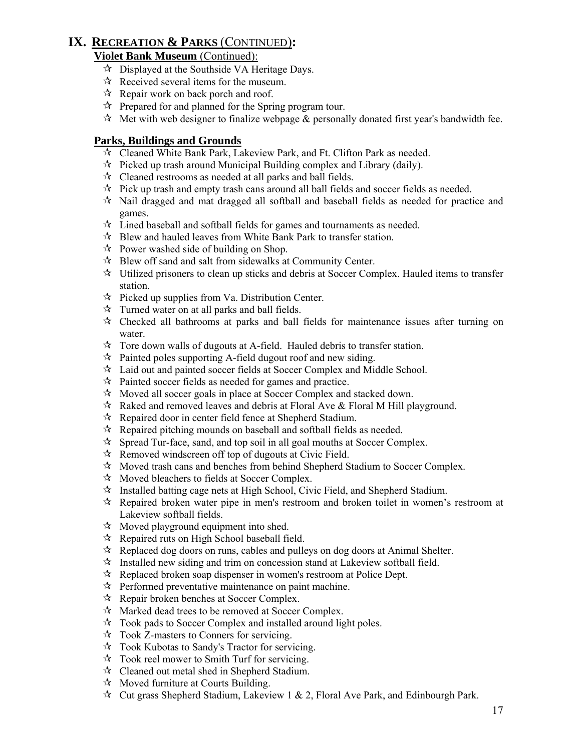# **IX. RECREATION & PARKS** (CONTINUED)**:**

### **Violet Bank Museum** (Continued):

- $\Delta$  Displayed at the Southside VA Heritage Days.
- $\mathcal{R}$  Received several items for the museum.
- $\mathcal{R}$  Repair work on back porch and roof.
- $\mathcal{R}$  Prepared for and planned for the Spring program tour.
- $\mathcal{A}$  Met with web designer to finalize webpage & personally donated first year's bandwidth fee.

# **Parks, Buildings and Grounds**

- Cleaned White Bank Park, Lakeview Park, and Ft. Clifton Park as needed.
- $\hat{x}$  Picked up trash around Municipal Building complex and Library (daily).
- $\mathcal{R}$  Cleaned restrooms as needed at all parks and ball fields.
- $\mathcal{R}$  Pick up trash and empty trash cans around all ball fields and soccer fields as needed.
- $\mathcal{R}$  Nail dragged and mat dragged all softball and baseball fields as needed for practice and games.
- $\star$  Lined baseball and softball fields for games and tournaments as needed.
- $\mathcal{R}$  Blew and hauled leaves from White Bank Park to transfer station.
- $\mathcal{R}$  Power washed side of building on Shop.
- $\mathcal{R}$  Blew off sand and salt from sidewalks at Community Center.
- $\forall$  Utilized prisoners to clean up sticks and debris at Soccer Complex. Hauled items to transfer station.
- $\mathcal{R}$  Picked up supplies from Va. Distribution Center.
- $\mathcal{R}$  Turned water on at all parks and ball fields.
- $\mathcal{R}$  Checked all bathrooms at parks and ball fields for maintenance issues after turning on water.
- $\mathcal{R}$  Tore down walls of dugouts at A-field. Hauled debris to transfer station.
- $\hat{x}$  Painted poles supporting A-field dugout roof and new siding.
- Laid out and painted soccer fields at Soccer Complex and Middle School.
- $\mathcal{R}$  Painted soccer fields as needed for games and practice.
- $\mathcal{R}$  Moved all soccer goals in place at Soccer Complex and stacked down.
- $\mathcal{R}$  Raked and removed leaves and debris at Floral Ave & Floral M Hill playground.
- $\mathcal{R}$  Repaired door in center field fence at Shepherd Stadium.
- $\mathcal{R}$  Repaired pitching mounds on baseball and softball fields as needed.
- $\mathcal{R}$  Spread Tur-face, sand, and top soil in all goal mouths at Soccer Complex.
- $\mathcal{R}$  Removed windscreen off top of dugouts at Civic Field.
- $\mathcal{A}$  Moved trash cans and benches from behind Shepherd Stadium to Soccer Complex.
- $\mathcal{R}$  Moved bleachers to fields at Soccer Complex.
- $\mathcal{R}$  Installed batting cage nets at High School, Civic Field, and Shepherd Stadium.
- $\mathcal{R}$  Repaired broken water pipe in men's restroom and broken toilet in women's restroom at Lakeview softball fields.
- $\mathcal{A}$  Moved playground equipment into shed.
- $\mathcal{R}$  Repaired ruts on High School baseball field.
- $\vec{x}$  Replaced dog doors on runs, cables and pulleys on dog doors at Animal Shelter.
- $\mathcal{R}$  Installed new siding and trim on concession stand at Lakeview softball field.
- $\mathcal{R}$  Replaced broken soap dispenser in women's restroom at Police Dept.
- $\mathcal{R}$  Performed preventative maintenance on paint machine.
- $\mathcal{R}$  Repair broken benches at Soccer Complex.
- Marked dead trees to be removed at Soccer Complex.
- $\mathcal{R}$  Took pads to Soccer Complex and installed around light poles.
- Took Z-masters to Conners for servicing.
- Took Kubotas to Sandy's Tractor for servicing.
- $\mathcal{R}$  Took reel mower to Smith Turf for servicing.
- Cleaned out metal shed in Shepherd Stadium.
- $\mathcal{A}$  Moved furniture at Courts Building.
- $\mathcal{R}$  Cut grass Shepherd Stadium, Lakeview 1 & 2, Floral Ave Park, and Edinbourgh Park.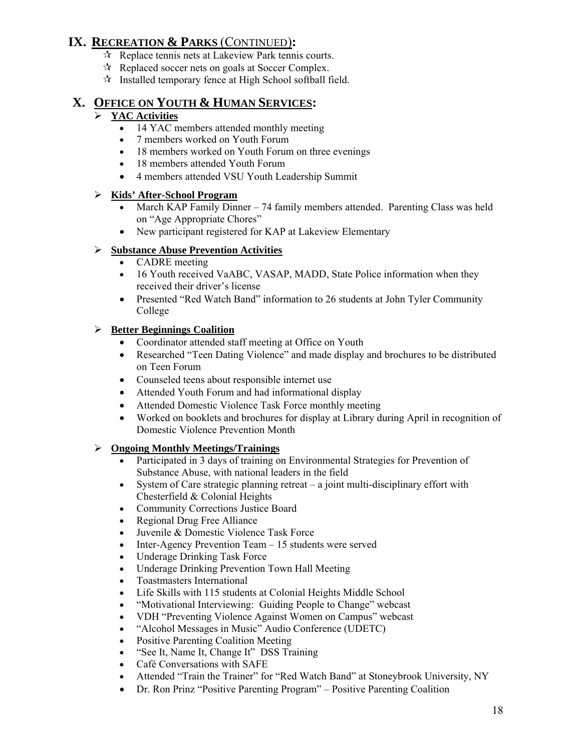# **IX. RECREATION & PARKS** (CONTINUED)**:**

- $\mathcal{R}$  Replace tennis nets at Lakeview Park tennis courts.
- $\mathcal{R}$  Replaced soccer nets on goals at Soccer Complex.
- $\mathcal{R}$  Installed temporary fence at High School softball field.

# **X. OFFICE ON YOUTH & HUMAN SERVICES:**

### ¾ **YAC Activities**

- 14 YAC members attended monthly meeting
- 7 members worked on Youth Forum
- 18 members worked on Youth Forum on three evenings
- 18 members attended Youth Forum
- 4 members attended VSU Youth Leadership Summit

#### ¾ **Kids' After-School Program**

- March KAP Family Dinner 74 family members attended. Parenting Class was held on "Age Appropriate Chores"
- New participant registered for KAP at Lakeview Elementary

### ¾ **Substance Abuse Prevention Activities**

- CADRE meeting
- 16 Youth received VaABC, VASAP, MADD, State Police information when they received their driver's license
- Presented "Red Watch Band" information to 26 students at John Tyler Community College

#### ¾ **Better Beginnings Coalition**

- Coordinator attended staff meeting at Office on Youth
- Researched "Teen Dating Violence" and made display and brochures to be distributed on Teen Forum
- Counseled teens about responsible internet use
- Attended Youth Forum and had informational display
- Attended Domestic Violence Task Force monthly meeting
- Worked on booklets and brochures for display at Library during April in recognition of Domestic Violence Prevention Month

### ¾ **Ongoing Monthly Meetings/Trainings**

- Participated in 3 days of training on Environmental Strategies for Prevention of Substance Abuse, with national leaders in the field
- System of Care strategic planning retreat a joint multi-disciplinary effort with Chesterfield & Colonial Heights
- Community Corrections Justice Board
- Regional Drug Free Alliance
- Juvenile & Domestic Violence Task Force
- Inter-Agency Prevention Team 15 students were served
- Underage Drinking Task Force
- Underage Drinking Prevention Town Hall Meeting
- Toastmasters International
- Life Skills with 115 students at Colonial Heights Middle School
- "Motivational Interviewing: Guiding People to Change" webcast
- VDH "Preventing Violence Against Women on Campus" webcast
- "Alcohol Messages in Music" Audio Conference (UDETC)
- Positive Parenting Coalition Meeting
- "See It, Name It, Change It" DSS Training
- Café Conversations with SAFE
- Attended "Train the Trainer" for "Red Watch Band" at Stoneybrook University, NY
- Dr. Ron Prinz "Positive Parenting Program" Positive Parenting Coalition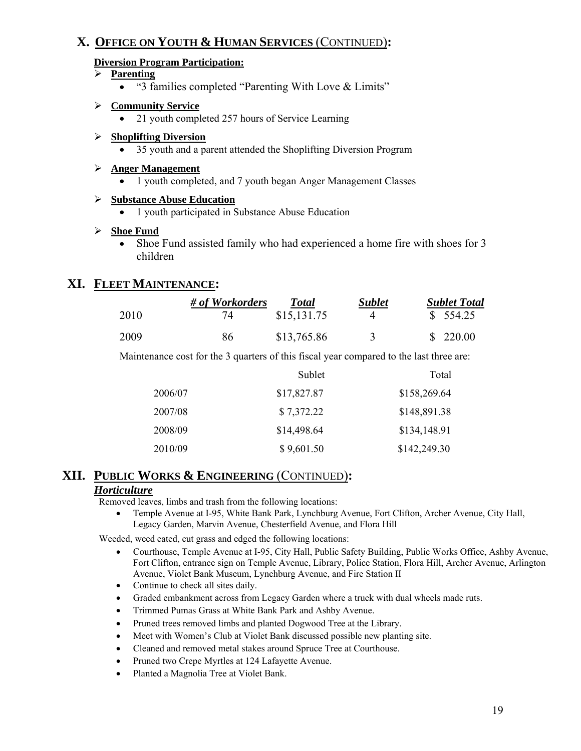# **X. OFFICE ON YOUTH & HUMAN SERVICES** (CONTINUED)**:**

#### **Diversion Program Participation:**

#### ¾ **Parenting**

• "3 families completed "Parenting With Love & Limits"

#### ¾ **Community Service**

• 21 youth completed 257 hours of Service Learning

#### ¾ **Shoplifting Diversion**

• 35 youth and a parent attended the Shoplifting Diversion Program

#### ¾ **Anger Management**

- 1 youth completed, and 7 youth began Anger Management Classes
- ¾ **Substance Abuse Education**
	- 1 youth participated in Substance Abuse Education

#### ¾ **Shoe Fund**

• Shoe Fund assisted family who had experienced a home fire with shoes for 3 children

# **XI. FLEET MAINTENANCE:**

|      | # of Workorders | Total       | <b>Sublet</b> | <b>Sublet Total</b> |
|------|-----------------|-------------|---------------|---------------------|
| 2010 |                 | \$15,131.75 |               | \$554.25            |
| 2009 | 86              | \$13,765.86 |               | \$220.00            |

Maintenance cost for the 3 quarters of this fiscal year compared to the last three are:

|         | Sublet      | Total        |
|---------|-------------|--------------|
| 2006/07 | \$17,827.87 | \$158,269.64 |
| 2007/08 | \$7,372.22  | \$148,891.38 |
| 2008/09 | \$14,498.64 | \$134,148.91 |
| 2010/09 | \$9,601.50  | \$142,249.30 |

### **XII. PUBLIC WORKS & ENGINEERING** (CONTINUED)**:**

#### *Horticulture*

Removed leaves, limbs and trash from the following locations:

• Temple Avenue at I-95, White Bank Park, Lynchburg Avenue, Fort Clifton, Archer Avenue, City Hall, Legacy Garden, Marvin Avenue, Chesterfield Avenue, and Flora Hill

Weeded, weed eated, cut grass and edged the following locations:

- Courthouse, Temple Avenue at I-95, City Hall, Public Safety Building, Public Works Office, Ashby Avenue, Fort Clifton, entrance sign on Temple Avenue, Library, Police Station, Flora Hill, Archer Avenue, Arlington Avenue, Violet Bank Museum, Lynchburg Avenue, and Fire Station II
- Continue to check all sites daily.
- Graded embankment across from Legacy Garden where a truck with dual wheels made ruts.
- Trimmed Pumas Grass at White Bank Park and Ashby Avenue.
- Pruned trees removed limbs and planted Dogwood Tree at the Library.
- Meet with Women's Club at Violet Bank discussed possible new planting site.
- Cleaned and removed metal stakes around Spruce Tree at Courthouse.
- Pruned two Crepe Myrtles at 124 Lafayette Avenue.
- Planted a Magnolia Tree at Violet Bank.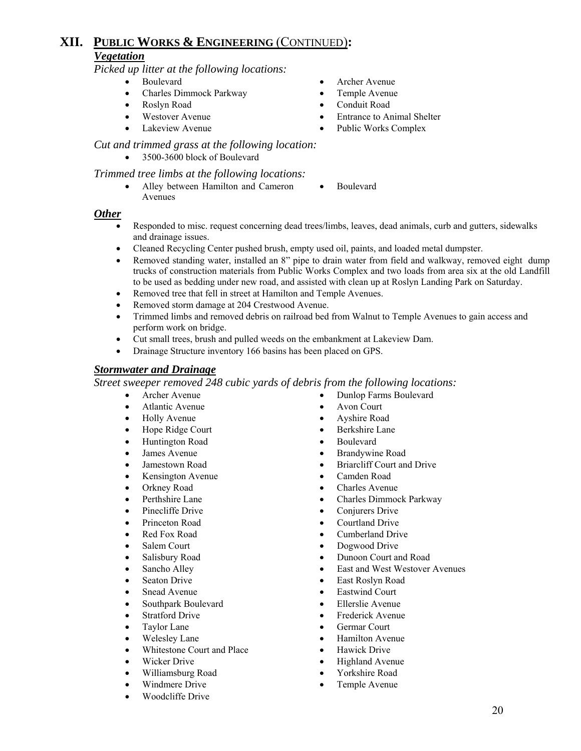# **XII. PUBLIC WORKS & ENGINEERING** (CONTINUED)**:** *Vegetation*

*Picked up litter at the following locations:* 

- 
- Charles Dimmock Parkway Temple Avenue
- 
- 
- 
- Boulevard Archer Avenue
	-
- Roslyn Road Conduit Road
- Westover Avenue Entrance to Animal Shelter
- Lakeview Avenue Public Works Complex

*Cut and trimmed grass at the following location:* 

• 3500-3600 block of Boulevard

#### *Trimmed tree limbs at the following locations:*

• Alley between Hamilton and Cameron Avenues • Boulevard

#### *Other*

- Responded to misc. request concerning dead trees/limbs, leaves, dead animals, curb and gutters, sidewalks and drainage issues.
- Cleaned Recycling Center pushed brush, empty used oil, paints, and loaded metal dumpster.
- Removed standing water, installed an 8" pipe to drain water from field and walkway, removed eight dump trucks of construction materials from Public Works Complex and two loads from area six at the old Landfill to be used as bedding under new road, and assisted with clean up at Roslyn Landing Park on Saturday.
- Removed tree that fell in street at Hamilton and Temple Avenues.
- Removed storm damage at 204 Crestwood Avenue.
- Trimmed limbs and removed debris on railroad bed from Walnut to Temple Avenues to gain access and perform work on bridge.
- Cut small trees, brush and pulled weeds on the embankment at Lakeview Dam.
- Drainage Structure inventory 166 basins has been placed on GPS.

#### *Stormwater and Drainage*

*Street sweeper removed 248 cubic yards of debris from the following locations:* 

- 
- Atlantic Avenue Avon Court
- Holly Avenue Ayshire Road
- 
- Huntington Road Boulevard
- 
- 
- Kensington Avenue Camden Road
- 
- 
- 
- 
- 
- 
- 
- 
- 
- 
- Southpark Boulevard Ellerslie Avenue
- 
- 
- 
- Whitestone Court and Place Hawick Drive
- 
- 
- 
- Woodcliffe Drive
- Archer Avenue Dunlop Farms Boulevard
	-
	-
	- Berkshire Lane
		-
	- James Avenue Brandywine Road
	- Jamestown Road Briarcliff Court and Drive
		-
	- Orkney Road Charles Avenue
- Perthshire Lane Charles Dimmock Parkway
	- Pinecliffe Drive Conjurers Drive
	- Courtland Drive Courtland Drive
	- **Particle Fox Road** Cumberland Drive
	- Salem Court Dogwood Drive
	- Salisbury Road Dunoon Court and Road
- Sancho Alley East and West Westover Avenues
	- Seaton Drive East Roslyn Road
	- Snead Avenue Eastwind Court
		-
	- Stratford Drive Frederick Avenue
- Taylor Lane Germar Court
	- Welesley Lane Hamilton Avenue
		-
	- Wicker Drive Highland Avenue
	- Williamsburg Road Yorkshire Road
	- Windmere Drive Temple Avenue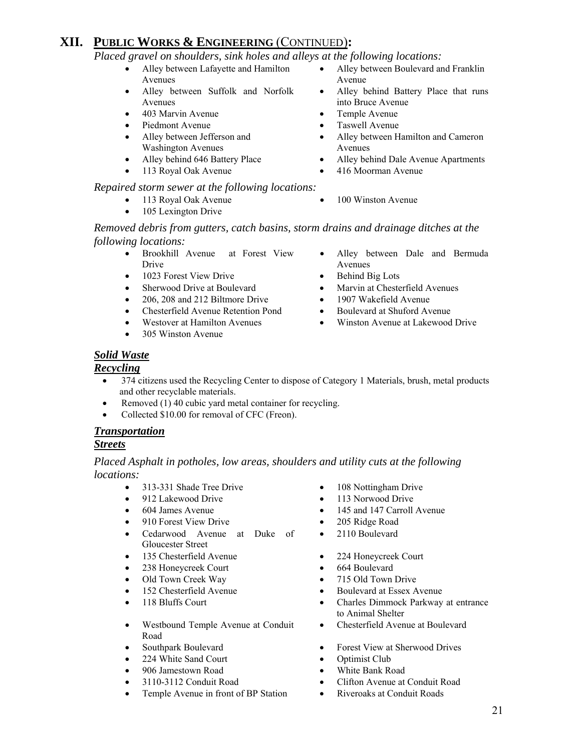# **XII. PUBLIC WORKS & ENGINEERING** (CONTINUED)**:**

*Placed gravel on shoulders, sink holes and alleys at the following locations:* 

- Alley between Lafayette and Hamilton Avenues
- Alley between Suffolk and Norfolk Avenues
- 403 Marvin Avenue Temple Avenue
- 
- Alley between Jefferson and Washington Avenues
- 
- 113 Royal Oak Avenue 416 Moorman Avenue

#### *Repaired storm sewer at the following locations:*

- 
- 105 Lexington Drive
- Alley between Boulevard and Franklin Avenue
- Alley behind Battery Place that runs into Bruce Avenue
- 
- Piedmont Avenue Taswell Avenue
	- Alley between Hamilton and Cameron Avenues
- Alley behind 646 Battery Place Alley behind Dale Avenue Apartments
	-
- 113 Royal Oak Avenue 100 Winston Avenue

*Removed debris from gutters, catch basins, storm drains and drainage ditches at the following locations:* 

- Brookhill Avenue at Forest View Drive
- 1023 Forest View Drive Behind Big Lots
- 
- 206, 208 and 212 Biltmore Drive 1907 Wakefield Avenue
- Chesterfield Avenue Retention Pond Boulevard at Shuford Avenue
- 
- 305 Winston Avenue
- Alley between Dale and Bermuda Avenues
- 
- Sherwood Drive at Boulevard Marvin at Chesterfield Avenues
	-
	-
- Westover at Hamilton Avenues Winston Avenue at Lakewood Drive

#### *Solid Waste*

#### *Recycling*

- 374 citizens used the Recycling Center to dispose of Category 1 Materials, brush, metal products and other recyclable materials.
- Removed (1) 40 cubic yard metal container for recycling.
- Collected \$10.00 for removal of CFC (Freon).

#### *Transportation*

#### *Streets*

*Placed Asphalt in potholes, low areas, shoulders and utility cuts at the following locations:* 

- 313-331 Shade Tree Drive 108 Nottingham Drive
- 
- 
- 910 Forest View Drive 205 Ridge Road
- Cedarwood Avenue at Duke of Gloucester Street
- 
- 238 Honeycreek Court 664 Boulevard
- 
- 
- 
- Westbound Temple Avenue at Conduit Road
- 
- 224 White Sand Court Optimist Club
- 906 Jamestown Road White Bank Road
- 
- Temple Avenue in front of BP Station Riveroaks at Conduit Roads
- 
- 912 Lakewood Drive 113 Norwood Drive
- 604 James Avenue 145 and 147 Carroll Avenue
	-
	- 2110 Boulevard
- 135 Chesterfield Avenue 224 Honeycreek Court
	-
- Old Town Creek Way 715 Old Town Drive
- 152 Chesterfield Avenue Boulevard at Essex Avenue
- 118 Bluffs Court Charles Dimmock Parkway at entrance to Animal Shelter
	- Chesterfield Avenue at Boulevard
- Southpark Boulevard Forest View at Sherwood Drives
	-
	-
	- 3110-3112 Conduit Road Clifton Avenue at Conduit Road
		-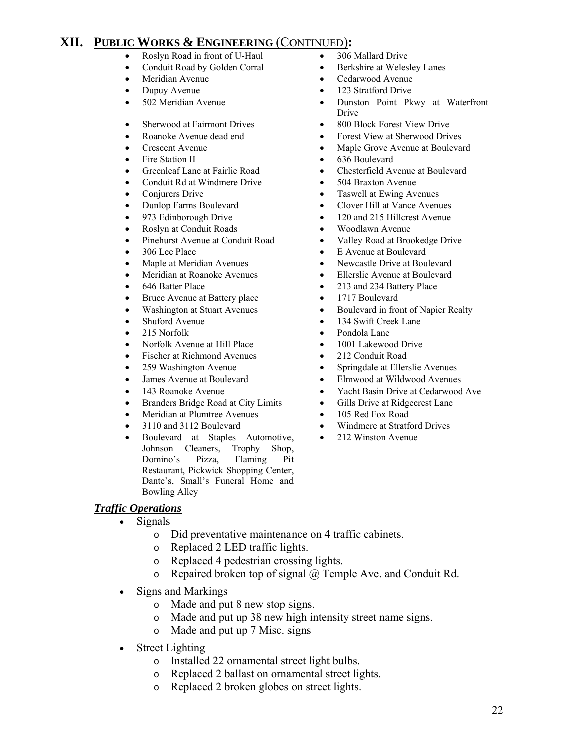# **XII. PUBLIC WORKS & ENGINEERING** (CONTINUED)**:**

- Roslyn Road in front of U-Haul 306 Mallard Drive
- Conduit Road by Golden Corral Berkshire at Welesley Lanes
- Meridian Avenue Cedarwood Avenue
- 
- 
- Sherwood at Fairmont Drives 800 Block Forest View Drive
- 
- 
- 
- 
- Conduit Rd at Windmere Drive 504 Braxton Avenue
- 
- 
- 
- Roslyn at Conduit Roads Woodlawn Avenue
- 
- 
- 
- 
- 
- **Bruce Avenue at Battery place** 1717 Boulevard
- 
- 
- 
- Norfolk Avenue at Hill Place 1001 Lakewood Drive
- Fischer at Richmond Avenues 212 Conduit Road
- 
- 
- 
- Branders Bridge Road at City Limits Gills Drive at Ridgecrest Lane
- Meridian at Plumtree Avenues 105 Red Fox Road
- 
- Boulevard at Staples Automotive, Johnson Cleaners, Trophy Shop, Domino's Pizza, Flaming Pit Restaurant, Pickwick Shopping Center, Dante's, Small's Funeral Home and Bowling Alley

### *Traffic Operations*

- Signals
	- o Did preventative maintenance on 4 traffic cabinets.
	- o Replaced 2 LED traffic lights.
	- o Replaced 4 pedestrian crossing lights.
	- o Repaired broken top of signal @ Temple Ave. and Conduit Rd.
- Signs and Markings
	- o Made and put 8 new stop signs.
	- o Made and put up 38 new high intensity street name signs.
	- o Made and put up 7 Misc. signs
- **Street Lighting** 
	- o Installed 22 ornamental street light bulbs.
	- o Replaced 2 ballast on ornamental street lights.
	- o Replaced 2 broken globes on street lights.
- 
- 
- 
- Dupuy Avenue 123 Stratford Drive
	- 502 Meridian Avenue Dunston Point Pkwy at Waterfront Drive
		-
- Roanoke Avenue dead end Forest View at Sherwood Drives
	- Crescent Avenue Maple Grove Avenue at Boulevard
	- Fire Station II 636 Boulevard
	- Greenleaf Lane at Fairlie Road Chesterfield Avenue at Boulevard
		-
	- Conjurers Drive Taswell at Ewing Avenues
	- Dunlop Farms Boulevard Clover Hill at Vance Avenues
	- 973 Edinborough Drive 120 and 215 Hillcrest Avenue
		-
	- Pinehurst Avenue at Conduit Road Valley Road at Brookedge Drive
	- 306 Lee Place E Avenue at Boulevard
- Maple at Meridian Avenues Newcastle Drive at Boulevard
	- Meridian at Roanoke Avenues Ellerslie Avenue at Boulevard
- 646 Batter Place 213 and 234 Battery Place
	-
	- Washington at Stuart Avenues Boulevard in front of Napier Realty
- Shuford Avenue 134 Swift Creek Lane
- 215 Norfolk Pondola Lane
	-
	-
- 259 Washington Avenue Springdale at Ellerslie Avenues
	- James Avenue at Boulevard Elmwood at Wildwood Avenues
	- 143 Roanoke Avenue Yacht Basin Drive at Cedarwood Ave
		-
		-
	- 3110 and 3112 Boulevard Windmere at Stratford Drives
		- 212 Winston Avenue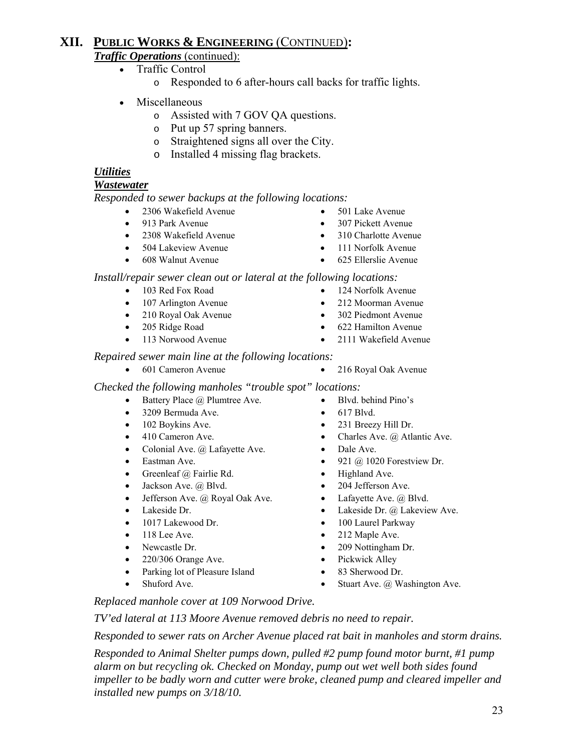### **XII. PUBLIC WORKS & ENGINEERING** (CONTINUED)**:** *Traffic Operations* (continued):

- Traffic Control
	- o Responded to 6 after-hours call backs for traffic lights.
- Miscellaneous
	- o Assisted with 7 GOV QA questions.
	- o Put up 57 spring banners.
	- o Straightened signs all over the City.
	- o Installed 4 missing flag brackets.

#### *Utilities*

#### *Wastewater*

*Responded to sewer backups at the following locations:*

- 2306 Wakefield Avenue 501 Lake Avenue
	-
- 2308 Wakefield Avenue 310 Charlotte Avenue
- 
- 
- 
- 913 Park Avenue 307 Pickett Avenue
	-
- 504 Lakeview Avenue 111 Norfolk Avenue
- 608 Walnut Avenue 625 Ellerslie Avenue

#### *Install/repair sewer clean out or lateral at the following locations:*

- 103 Red Fox Road 124 Norfolk Avenue
- 107 Arlington Avenue 212 Moorman Avenue
- 210 Royal Oak Avenue 302 Piedmont Avenue
- 205 Ridge Road 622 Hamilton Avenue
- 113 Norwood Avenue 2111 Wakefield Avenue
	-
- *Repaired sewer main line at the following locations:* 
	- 601 Cameron Avenue 216 Royal Oak Avenue

*Checked the following manholes "trouble spot" locations:*

- Battery Place @ Plumtree Ave. Blvd. behind Pino's
- 3209 Bermuda Ave. 617 Blvd.
- 
- 
- Colonial Ave. @ Lafayette Ave. Dale Ave.
- 
- Greenleaf @ Fairlie Rd. Highland Ave.
- Jackson Ave. @ Blvd. 204 Jefferson Ave.
- Jefferson Ave. @ Royal Oak Ave. Lafayette Ave. @ Blvd.
- 
- 
- 
- 
- 220/306 Orange Ave. Pickwick Alley
- Parking lot of Pleasure Island 83 Sherwood Dr.
- 
- 
- 
- 
- 102 Boykins Ave. 231 Breezy Hill Dr.
- 410 Cameron Ave. Charles Ave. @ Atlantic Ave.
	-
- Eastman Ave. 921 @ 1020 Forestview Dr.
	-
	-
	-
	- Lakeside Dr.  **Lakeside Dr.** @ Lakeside Dr. @ Lakeview Ave.
	- 1017 Lakewood Dr. 100 Laurel Parkway
- 118 Lee Ave. 212 Maple Ave.
- Newcastle Dr. 209 Nottingham Dr.
	-
	-
	- Stuart Ave. @ Washington Ave.

*Replaced manhole cover at 109 Norwood Drive.*

 *TV'ed lateral at 113 Moore Avenue removed debris no need to repair.* 

 *Responded to sewer rats on Archer Avenue placed rat bait in manholes and storm drains.* 

 *Responded to Animal Shelter pumps down, pulled #2 pump found motor burnt, #1 pump alarm on but recycling ok. Checked on Monday, pump out wet well both sides found impeller to be badly worn and cutter were broke, cleaned pump and cleared impeller and installed new pumps on 3/18/10.* 

- -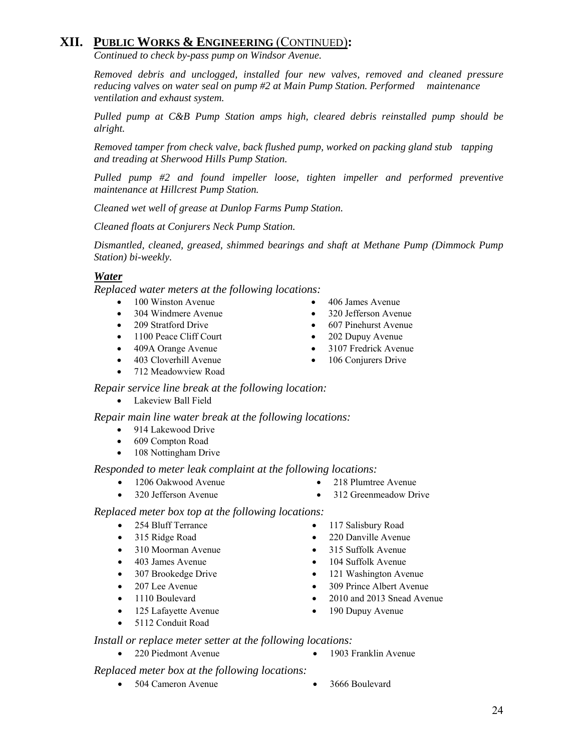# **XII. PUBLIC WORKS & ENGINEERING** (CONTINUED)**:**

*Continued to check by-pass pump on Windsor Avenue.* 

*Removed debris and unclogged, installed four new valves, removed and cleaned pressure reducing valves on water seal on pump #2 at Main Pump Station. Performed maintenance ventilation and exhaust system.* 

*Pulled pump at C&B Pump Station amps high, cleared debris reinstalled pump should be alright.* 

*Removed tamper from check valve, back flushed pump, worked on packing gland stub tapping and treading at Sherwood Hills Pump Station.* 

*Pulled pump #2 and found impeller loose, tighten impeller and performed preventive maintenance at Hillcrest Pump Station.* 

*Cleaned wet well of grease at Dunlop Farms Pump Station.* 

*Cleaned floats at Conjurers Neck Pump Station.* 

*Dismantled, cleaned, greased, shimmed bearings and shaft at Methane Pump (Dimmock Pump Station) bi-weekly.* 

#### *Water*

*Replaced water meters at the following locations:* 

- 100 Winston Avenue 406 James Avenue
- 304 Windmere Avenue 320 Jefferson Avenue
- 209 Stratford Drive 607 Pinehurst Avenue
- 1100 Peace Cliff Court 202 Dupuy Avenue
- 409A Orange Avenue 3107 Fredrick Avenue
- 403 Cloverhill Avenue 106 Conjurers Drive
- 712 Meadowview Road
- *Repair service line break at the following location:* 
	- Lakeview Ball Field

 *Repair main line water break at the following locations:* 

- 914 Lakewood Drive
- 609 Compton Road
- 108 Nottingham Drive

#### *Responded to meter leak complaint at the following locations:*

- 1206 Oakwood Avenue 218 Plumtree Avenue
- 320 Jefferson Avenue 312 Greenmeadow Drive
	-

#### *Replaced meter box top at the following locations:*

- 
- 
- 310 Moorman Avenue 315 Suffolk Avenue
- 
- 
- 
- 
- 125 Lafayette Avenue 190 Dupuy Avenue
- 5112 Conduit Road
- 254 Bluff Terrance 117 Salisbury Road
- 315 Ridge Road 220 Danville Avenue
	-
- 403 James Avenue 104 Suffolk Avenue
- 307 Brookedge Drive 121 Washington Avenue
- 207 Lee Avenue 309 Prince Albert Avenue
- 1110 Boulevard 2010 and 2013 Snead Avenue
	-

#### *Install or replace meter setter at the following locations:*

• 220 Piedmont Avenue • 1903 Franklin Avenue

#### *Replaced meter box at the following locations:*

- 504 Cameron Avenue 3666 Boulevard
- 
- 
- 
- 
- 
-